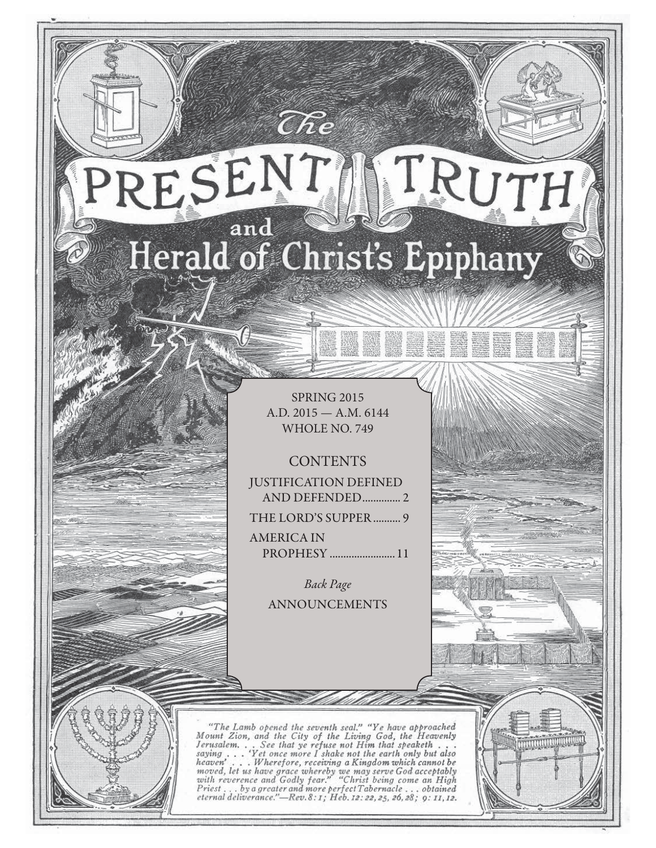# RESENT TRUTH and Herald of Christ's Epiphany

 $\widehat{C}\hspace{-0.6mm}\mathit{\widehat{R}} e$ 

SPRING 2015 A.D. 2015 — A.M. 6144 WHOLE NO. 749

**CONTENTS** JUSTIFICATION DEFINED AND DEFENDED .............. 2 THE LORD'S SUPPER .......... 9

AMERICA IN PROPHESY ........................ 11

> Back Page ANNOUNCEMENTS

"The Lamb opened the seventh seal." "Ye have approached Mount Zion, and the City of the Living God, the Heavenly Jerusalem... See that ye refuse not Him that speaketh...<br>saying... 'Yet once more I shake not the earth only serusian... See that ye refuse not fit me in the any but also<br>saying ... Wherefore, receiving a Kingdom which cannot be<br>moved, let us have grace whereby we may serve God acceptably<br>with reverence and Godly fear." "Christ b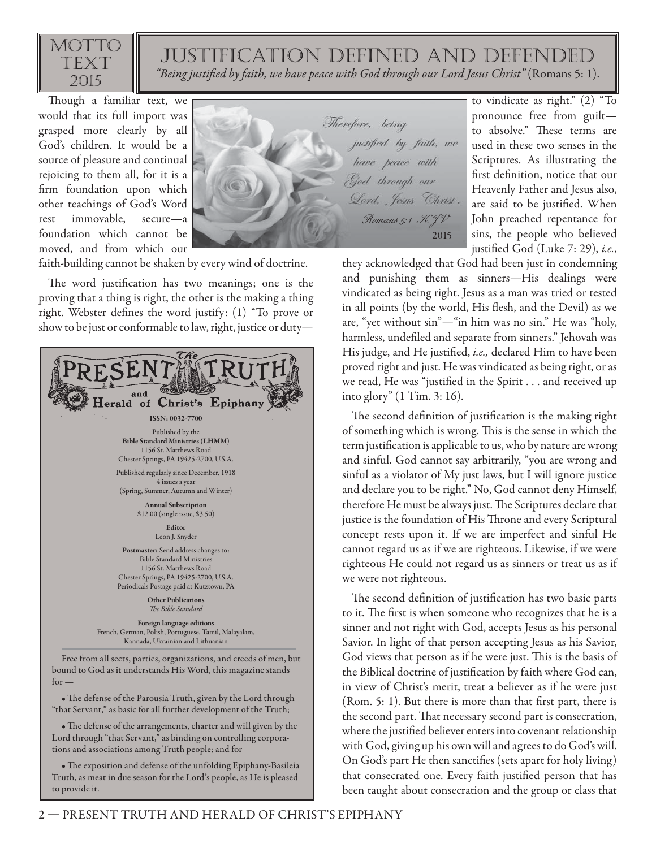

### justification defined and defended

"Being justified by faith, we have peace with God through our Lord Jesus Christ" (Romans 5: 1).

Though a familiar text, we would that its full import was grasped more clearly by all God's children. It would be a source of pleasure and continual rejoicing to them all, for it is a firm foundation upon which other teachings of God's Word rest immovable, secure—a foundation which cannot be moved, and from which our



faith-building cannot be shaken by every wind of doctrine.

The word justification has two meanings; one is the proving that a thing is right, the other is the making a thing right. Webster defines the word justify:  $(1)$  "To prove or show to be just or conformable to law, right, justice or duty—



• The defense of the Parousia Truth, given by the Lord through "that Servant," as basic for all further development of the Truth;

• The defense of the arrangements, charter and will given by the Lord through "that Servant," as binding on controlling corporations and associations among Truth people; and for

• The exposition and defense of the unfolding Epiphany-Basileia Truth, as meat in due season for the Lord's people, as He is pleased to provide it.

to vindicate as right." (2) "To pronounce free from guilt to absolve." These terms are used in these two senses in the Scriptures. As illustrating the first definition, notice that our Heavenly Father and Jesus also, are said to be justified. When John preached repentance for sins, the people who believed justified God (Luke 7: 29), *i.e.*,

they acknowledged that God had been just in condemning and punishing them as sinners—His dealings were vindicated as being right. Jesus as a man was tried or tested in all points (by the world, His flesh, and the Devil) as we are, "yet without sin"—"in him was no sin." He was "holy, harmless, undefiled and separate from sinners." Jehovah was His judge, and He justified, i.e., declared Him to have been proved right and just. He was vindicated as being right, or as we read, He was "justified in the Spirit . . . and received up into glory" (1 Tim. 3: 16).

The second definition of justification is the making right of something which is wrong. This is the sense in which the term justification is applicable to us, who by nature are wrong and sinful. God cannot say arbitrarily, "you are wrong and sinful as a violator of My just laws, but I will ignore justice and declare you to be right." No, God cannot deny Himself, therefore He must be always just. The Scriptures declare that justice is the foundation of His Throne and every Scriptural concept rests upon it. If we are imperfect and sinful He cannot regard us as if we are righteous. Likewise, if we were righteous He could not regard us as sinners or treat us as if we were not righteous.

The second definition of justification has two basic parts to it. The first is when someone who recognizes that he is a sinner and not right with God, accepts Jesus as his personal Savior. In light of that person accepting Jesus as his Savior, God views that person as if he were just. This is the basis of the Biblical doctrine of justification by faith where God can, in view of Christ's merit, treat a believer as if he were just  $(Rom. 5: 1)$ . But there is more than that first part, there is the second part. That necessary second part is consecration, where the justified believer enters into covenant relationship with God, giving up his own will and agrees to do God's will. On God's part He then sanctifies (sets apart for holy living) that consecrated one. Every faith justified person that has been taught about consecration and the group or class that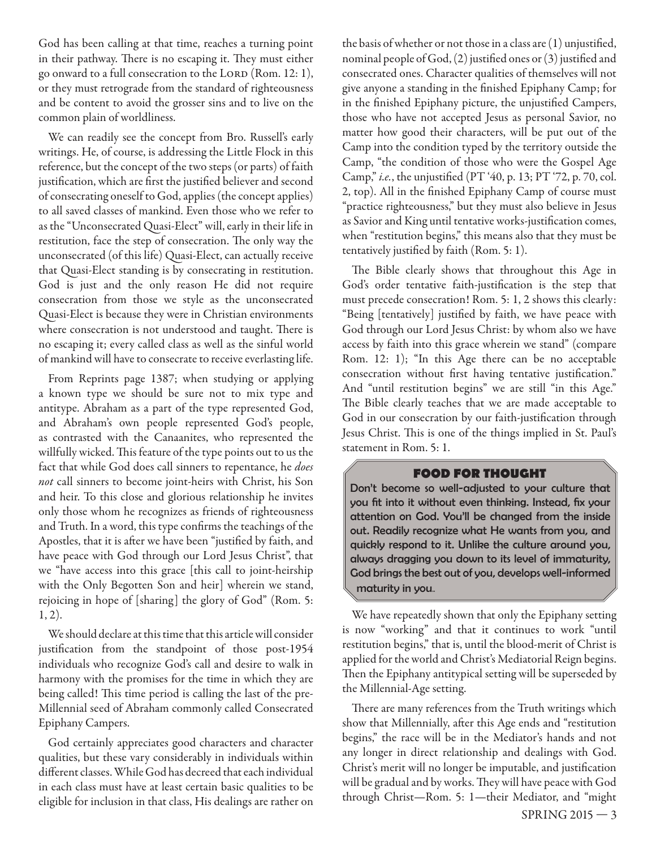God has been calling at that time, reaches a turning point in their pathway. There is no escaping it. They must either go onward to a full consecration to the LORD (Rom. 12: 1), or they must retrograde from the standard of righteousness and be content to avoid the grosser sins and to live on the common plain of worldliness.

We can readily see the concept from Bro. Russell's early writings. He, of course, is addressing the Little Flock in this reference, but the concept of the two steps (or parts) of faith justification, which are first the justified believer and second of consecrating oneself to God, applies (the concept applies) to all saved classes of mankind. Even those who we refer to as the "Unconsecrated Quasi-Elect" will, early in their life in restitution, face the step of consecration. The only way the unconsecrated (of this life) Quasi-Elect, can actually receive that Quasi-Elect standing is by consecrating in restitution. God is just and the only reason He did not require consecration from those we style as the unconsecrated Quasi-Elect is because they were in Christian environments where consecration is not understood and taught. There is no escaping it; every called class as well as the sinful world of mankind will have to consecrate to receive everlasting life.

From Reprints page 1387; when studying or applying a known type we should be sure not to mix type and antitype. Abraham as a part of the type represented God, and Abraham's own people represented God's people, as contrasted with the Canaanites, who represented the willfully wicked. This feature of the type points out to us the fact that while God does call sinners to repentance, he *does* not call sinners to become joint-heirs with Christ, his Son and heir. To this close and glorious relationship he invites only those whom he recognizes as friends of righteousness and Truth. In a word, this type confirms the teachings of the Apostles, that it is after we have been "justified by faith, and have peace with God through our Lord Jesus Christ", that we "have access into this grace [this call to joint-heirship with the Only Begotten Son and heir] wherein we stand, rejoicing in hope of [sharing] the glory of God" (Rom. 5: 1, 2).

We should declare at this time that this article will consider justification from the standpoint of those post-1954 individuals who recognize God's call and desire to walk in harmony with the promises for the time in which they are being called! This time period is calling the last of the pre-Millennial seed of Abraham commonly called Consecrated Epiphany Campers.

God certainly appreciates good characters and character qualities, but these vary considerably in individuals within different classes. While God has decreed that each individual in each class must have at least certain basic qualities to be eligible for inclusion in that class, His dealings are rather on

the basis of whether or not those in a class are  $(1)$  unjustified, nominal people of God,  $(2)$  justified ones or  $(3)$  justified and consecrated ones. Character qualities of themselves will not give anyone a standing in the finished Epiphany Camp; for in the finished Epiphany picture, the unjustified Campers, those who have not accepted Jesus as personal Savior, no matter how good their characters, will be put out of the Camp into the condition typed by the territory outside the Camp, "the condition of those who were the Gospel Age Camp," *i.e.*, the unjustified (PT '40, p. 13; PT '72, p. 70, col. 2, top). All in the finished Epiphany Camp of course must "practice righteousness," but they must also believe in Jesus as Savior and King until tentative works-justification comes, when "restitution begins," this means also that they must be tentatively justified by faith (Rom. 5: 1).

The Bible clearly shows that throughout this Age in God's order tentative faith-justification is the step that must precede consecration! Rom. 5: 1, 2 shows this clearly: "Being [tentatively] justified by faith, we have peace with God through our Lord Jesus Christ: by whom also we have access by faith into this grace wherein we stand" (compare Rom. 12: 1); "In this Age there can be no acceptable consecration without first having tentative justification." And "until restitution begins" we are still "in this Age." The Bible clearly teaches that we are made acceptable to God in our consecration by our faith-justification through Jesus Christ. This is one of the things implied in St. Paul's statement in Rom. 5: 1.

#### **FOOD FOR THOUGHT**

Don't become so well-adjusted to your culture that you fit into it without even thinking. Instead, fix your attention on God. You'll be changed from the inside out. Readily recognize what He wants from you, and quickly respond to it. Unlike the culture around you, always dragging you down to its level of immaturity, God brings the best out of you, develops well-informed maturity in you..

We have repeatedly shown that only the Epiphany setting is now "working" and that it continues to work "until restitution begins," that is, until the blood-merit of Christ is applied for the world and Christ's Mediatorial Reign begins. Then the Epiphany antitypical setting will be superseded by the Millennial-Age setting.

There are many references from the Truth writings which show that Millennially, after this Age ends and "restitution begins," the race will be in the Mediator's hands and not any longer in direct relationship and dealings with God. Christ's merit will no longer be imputable, and justification will be gradual and by works. They will have peace with God through Christ—Rom. 5: 1—their Mediator, and "might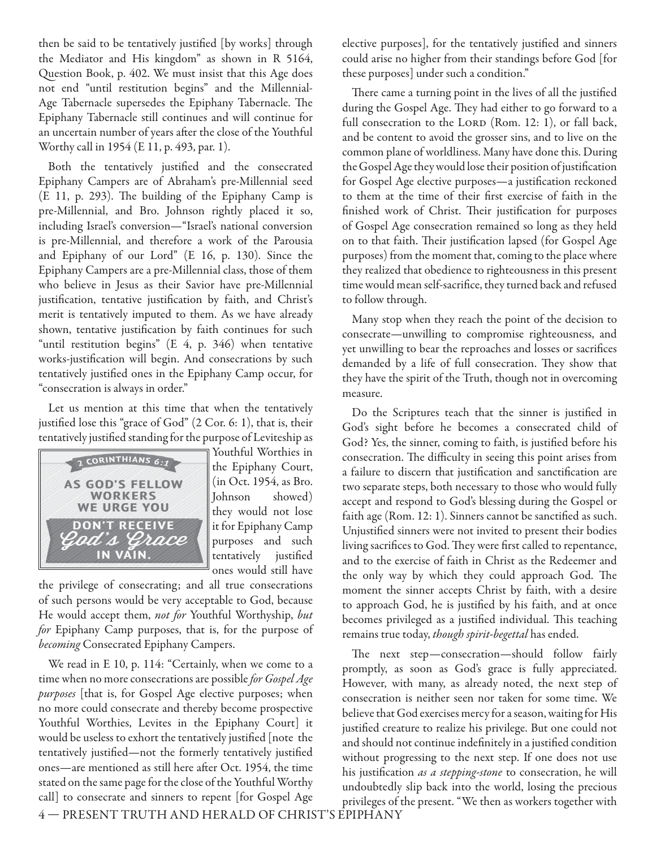then be said to be tentatively justified [by works] through the Mediator and His kingdom" as shown in R 5164, Question Book, p. 402. We must insist that this Age does not end "until restitution begins" and the Millennial-Age Tabernacle supersedes the Epiphany Tabernacle. The Epiphany Tabernacle still continues and will continue for an uncertain number of years after the close of the Youthful Worthy call in 1954 (E 11, p. 493, par. 1).

Both the tentatively justified and the consecrated Epiphany Campers are of Abraham's pre-Millennial seed (E 11, p. 293). The building of the Epiphany Camp is pre-Millennial, and Bro. Johnson rightly placed it so, including Israel's conversion—"Israel's national conversion is pre-Millennial, and therefore a work of the Parousia and Epiphany of our Lord" (E 16, p. 130). Since the Epiphany Campers are a pre-Millennial class, those of them who believe in Jesus as their Savior have pre-Millennial justification, tentative justification by faith, and Christ's merit is tentatively imputed to them. As we have already shown, tentative justification by faith continues for such "until restitution begins" (E 4, p. 346) when tentative works-justification will begin. And consecrations by such tentatively justified ones in the Epiphany Camp occur, for "consecration is always in order."

Let us mention at this time that when the tentatively justified lose this "grace of God" (2 Cor. 6: 1), that is, their tentatively justified standing for the purpose of Leviteship as



Youthful Worthies in the Epiphany Court, (in Oct. 1954, as Bro. Johnson showed) they would not lose it for Epiphany Camp purposes and such tentatively justified ones would still have

the privilege of consecrating; and all true consecrations of such persons would be very acceptable to God, because He would accept them, not for Youthful Worthyship, but for Epiphany Camp purposes, that is, for the purpose of becoming Consecrated Epiphany Campers.

We read in E 10, p. 114: "Certainly, when we come to a time when no more consecrations are possible for Gospel Age purposes [that is, for Gospel Age elective purposes; when no more could consecrate and thereby become prospective Youthful Worthies, Levites in the Epiphany Court] it would be useless to exhort the tentatively justified [note the tentatively justified—not the formerly tentatively justified ones—are mentioned as still here after Oct. 1954, the time stated on the same page for the close of the Youthful Worthy call] to consecrate and sinners to repent [for Gospel Age

elective purposes], for the tentatively justified and sinners could arise no higher from their standings before God [for these purposes] under such a condition."

There came a turning point in the lives of all the justified during the Gospel Age. They had either to go forward to a full consecration to the LORD (Rom. 12: 1), or fall back, and be content to avoid the grosser sins, and to live on the common plane of worldliness. Many have done this. During the Gospel Age they would lose their position of justification for Gospel Age elective purposes-a justification reckoned to them at the time of their first exercise of faith in the finished work of Christ. Their justification for purposes of Gospel Age consecration remained so long as they held on to that faith. Their justification lapsed (for Gospel Age purposes) from the moment that, coming to the place where they realized that obedience to righteousness in this present time would mean self-sacrifice, they turned back and refused to follow through.

Many stop when they reach the point of the decision to consecrate—unwilling to compromise righteousness, and yet unwilling to bear the reproaches and losses or sacrifices demanded by a life of full consecration. They show that they have the spirit of the Truth, though not in overcoming measure.

Do the Scriptures teach that the sinner is justified in God's sight before he becomes a consecrated child of God? Yes, the sinner, coming to faith, is justified before his consecration. The difficulty in seeing this point arises from a failure to discern that justification and sanctification are two separate steps, both necessary to those who would fully accept and respond to God's blessing during the Gospel or faith age (Rom. 12: 1). Sinners cannot be sanctified as such. Unjustified sinners were not invited to present their bodies living sacrifices to God. They were first called to repentance, and to the exercise of faith in Christ as the Redeemer and the only way by which they could approach God. The moment the sinner accepts Christ by faith, with a desire to approach God, he is justified by his faith, and at once becomes privileged as a justified individual. This teaching remains true today, though spirit-begettal has ended.

The next step-consecration-should follow fairly promptly, as soon as God's grace is fully appreciated. However, with many, as already noted, the next step of consecration is neither seen nor taken for some time. We believe that God exercises mercy for a season, waiting for His justified creature to realize his privilege. But one could not and should not continue indefinitely in a justified condition without progressing to the next step. If one does not use his justification as a stepping-stone to consecration, he will undoubtedly slip back into the world, losing the precious privileges of the present. "We then as workers together with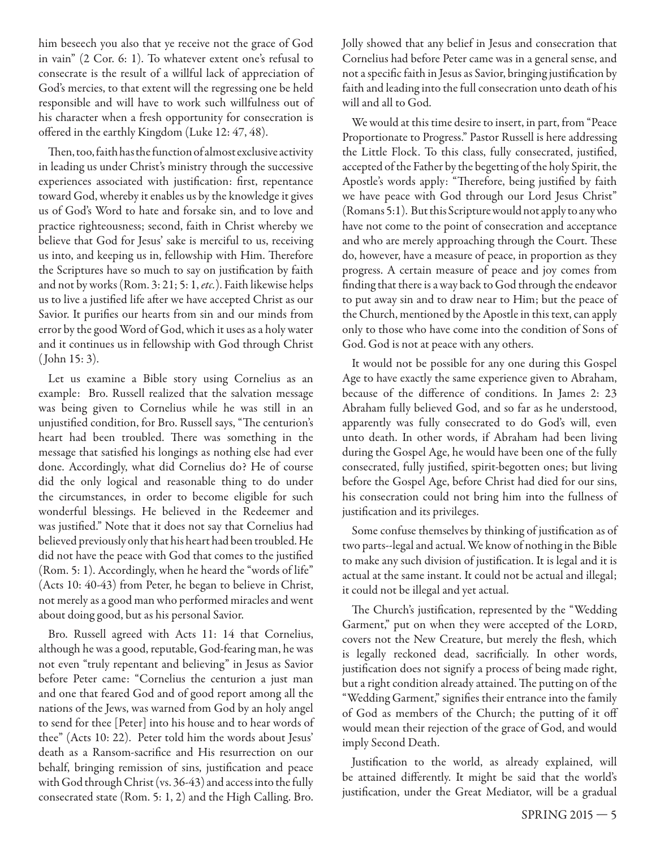him beseech you also that ye receive not the grace of God in vain" (2 Cor. 6: 1). To whatever extent one's refusal to consecrate is the result of a willful lack of appreciation of God's mercies, to that extent will the regressing one be held responsible and will have to work such willfulness out of his character when a fresh opportunity for consecration is offered in the earthly Kingdom (Luke 12: 47, 48).

Then, too, faith has the function of almost exclusive activity in leading us under Christ's ministry through the successive experiences associated with justification: first, repentance toward God, whereby it enables us by the knowledge it gives us of God's Word to hate and forsake sin, and to love and practice righteousness; second, faith in Christ whereby we believe that God for Jesus' sake is merciful to us, receiving us into, and keeping us in, fellowship with Him. Therefore the Scriptures have so much to say on justification by faith and not by works (Rom. 3: 21; 5: 1, etc.). Faith likewise helps us to live a justified life after we have accepted Christ as our Savior. It purifies our hearts from sin and our minds from error by the good Word of God, which it uses as a holy water and it continues us in fellowship with God through Christ ( John 15: 3).

Let us examine a Bible story using Cornelius as an example: Bro. Russell realized that the salvation message was being given to Cornelius while he was still in an unjustified condition, for Bro. Russell says, "The centurion's heart had been troubled. There was something in the message that satisfied his longings as nothing else had ever done. Accordingly, what did Cornelius do? He of course did the only logical and reasonable thing to do under the circumstances, in order to become eligible for such wonderful blessings. He believed in the Redeemer and was justified." Note that it does not say that Cornelius had believed previously only that his heart had been troubled. He did not have the peace with God that comes to the justified (Rom. 5: 1). Accordingly, when he heard the "words of life" (Acts 10: 40-43) from Peter, he began to believe in Christ, not merely as a good man who performed miracles and went about doing good, but as his personal Savior.

Bro. Russell agreed with Acts 11: 14 that Cornelius, although he was a good, reputable, God-fearing man, he was not even "truly repentant and believing" in Jesus as Savior before Peter came: "Cornelius the centurion a just man and one that feared God and of good report among all the nations of the Jews, was warned from God by an holy angel to send for thee [Peter] into his house and to hear words of thee" (Acts 10: 22). Peter told him the words about Jesus' death as a Ransom-sacrifice and His resurrection on our behalf, bringing remission of sins, justification and peace with God through Christ (vs. 36-43) and access into the fully consecrated state (Rom. 5: 1, 2) and the High Calling. Bro.

Jolly showed that any belief in Jesus and consecration that Cornelius had before Peter came was in a general sense, and not a specific faith in Jesus as Savior, bringing justification by faith and leading into the full consecration unto death of his will and all to God.

We would at this time desire to insert, in part, from "Peace Proportionate to Progress." Pastor Russell is here addressing the Little Flock. To this class, fully consecrated, justified, accepted of the Father by the begetting of the holy Spirit, the Apostle's words apply: "Therefore, being justified by faith we have peace with God through our Lord Jesus Christ" (Romans 5:1). But this Scripture would not apply to any who have not come to the point of consecration and acceptance and who are merely approaching through the Court. These do, however, have a measure of peace, in proportion as they progress. A certain measure of peace and joy comes from finding that there is a way back to God through the endeavor to put away sin and to draw near to Him; but the peace of the Church, mentioned by the Apostle in this text, can apply only to those who have come into the condition of Sons of God. God is not at peace with any others.

It would not be possible for any one during this Gospel Age to have exactly the same experience given to Abraham, because of the difference of conditions. In James 2: 23 Abraham fully believed God, and so far as he understood, apparently was fully consecrated to do God's will, even unto death. In other words, if Abraham had been living during the Gospel Age, he would have been one of the fully consecrated, fully justified, spirit-begotten ones; but living before the Gospel Age, before Christ had died for our sins, his consecration could not bring him into the fullness of justification and its privileges.

Some confuse themselves by thinking of justification as of two parts--legal and actual. We know of nothing in the Bible to make any such division of justification. It is legal and it is actual at the same instant. It could not be actual and illegal; it could not be illegal and yet actual.

The Church's justification, represented by the "Wedding Garment," put on when they were accepted of the LORD, covers not the New Creature, but merely the flesh, which is legally reckoned dead, sacrificially. In other words, justification does not signify a process of being made right, but a right condition already attained. The putting on of the "Wedding Garment," signifies their entrance into the family of God as members of the Church; the putting of it off would mean their rejection of the grace of God, and would imply Second Death.

Justification to the world, as already explained, will be attained differently. It might be said that the world's justification, under the Great Mediator, will be a gradual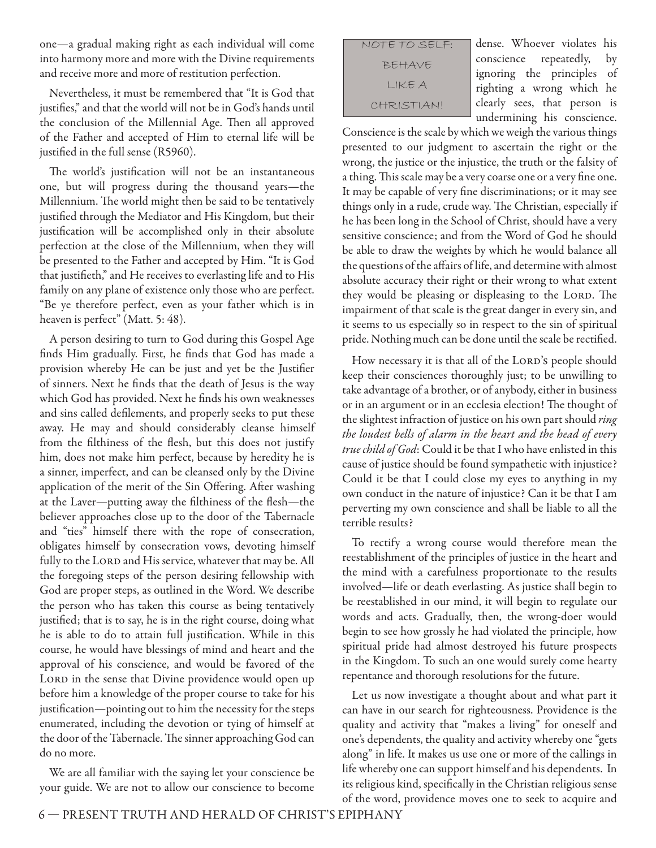one—a gradual making right as each individual will come into harmony more and more with the Divine requirements and receive more and more of restitution perfection.

Nevertheless, it must be remembered that "It is God that justifies," and that the world will not be in God's hands until the conclusion of the Millennial Age. Then all approved of the Father and accepted of Him to eternal life will be justified in the full sense (R5960).

The world's justification will not be an instantaneous one, but will progress during the thousand years—the Millennium. The world might then be said to be tentatively justified through the Mediator and His Kingdom, but their justification will be accomplished only in their absolute perfection at the close of the Millennium, when they will be presented to the Father and accepted by Him. "It is God that justifieth," and He receives to everlasting life and to His family on any plane of existence only those who are perfect. "Be ye therefore perfect, even as your father which is in heaven is perfect" (Matt. 5: 48).

A person desiring to turn to God during this Gospel Age finds Him gradually. First, he finds that God has made a provision whereby He can be just and yet be the Justifier of sinners. Next he finds that the death of Jesus is the way which God has provided. Next he finds his own weaknesses and sins called defilements, and properly seeks to put these away. He may and should considerably cleanse himself from the filthiness of the flesh, but this does not justify him, does not make him perfect, because by heredity he is a sinner, imperfect, and can be cleansed only by the Divine application of the merit of the Sin Offering. After washing at the Laver—putting away the filthiness of the flesh—the believer approaches close up to the door of the Tabernacle and "ties" himself there with the rope of consecration, obligates himself by consecration vows, devoting himself fully to the LORD and His service, whatever that may be. All the foregoing steps of the person desiring fellowship with God are proper steps, as outlined in the Word. We describe the person who has taken this course as being tentatively justified; that is to say, he is in the right course, doing what he is able to do to attain full justification. While in this course, he would have blessings of mind and heart and the approval of his conscience, and would be favored of the LORD in the sense that Divine providence would open up before him a knowledge of the proper course to take for his justification—pointing out to him the necessity for the steps enumerated, including the devotion or tying of himself at the door of the Tabernacle. The sinner approaching God can do no more.

We are all familiar with the saying let your conscience be your guide. We are not to allow our conscience to become

| NOTE TO SELF: |
|---------------|
| BEHAVE        |
| LIKE A        |
| CHRISTIANI    |

dense. Whoever violates his conscience repeatedly, by ignoring the principles of righting a wrong which he clearly sees, that person is undermining his conscience.

Conscience is the scale by which we weigh the various things presented to our judgment to ascertain the right or the wrong, the justice or the injustice, the truth or the falsity of a thing. This scale may be a very coarse one or a very fine one. It may be capable of very fine discriminations; or it may see things only in a rude, crude way. The Christian, especially if he has been long in the School of Christ, should have a very sensitive conscience; and from the Word of God he should be able to draw the weights by which he would balance all the questions of the affairs of life, and determine with almost absolute accuracy their right or their wrong to what extent they would be pleasing or displeasing to the LORD. The impairment of that scale is the great danger in every sin, and it seems to us especially so in respect to the sin of spiritual pride. Nothing much can be done until the scale be rectified.

How necessary it is that all of the LORD's people should keep their consciences thoroughly just; to be unwilling to take advantage of a brother, or of anybody, either in business or in an argument or in an ecclesia election! The thought of the slightest infraction of justice on his own part should ring the loudest bells of alarm in the heart and the head of every true child of God: Could it be that I who have enlisted in this cause of justice should be found sympathetic with injustice? Could it be that I could close my eyes to anything in my own conduct in the nature of injustice? Can it be that I am perverting my own conscience and shall be liable to all the terrible results?

To rectify a wrong course would therefore mean the reestablishment of the principles of justice in the heart and the mind with a carefulness proportionate to the results involved—life or death everlasting. As justice shall begin to be reestablished in our mind, it will begin to regulate our words and acts. Gradually, then, the wrong-doer would begin to see how grossly he had violated the principle, how spiritual pride had almost destroyed his future prospects in the Kingdom. To such an one would surely come hearty repentance and thorough resolutions for the future.

Let us now investigate a thought about and what part it can have in our search for righteousness. Providence is the quality and activity that "makes a living" for oneself and one's dependents, the quality and activity whereby one "gets along" in life. It makes us use one or more of the callings in life whereby one can support himself and his dependents. In its religious kind, specifically in the Christian religious sense of the word, providence moves one to seek to acquire and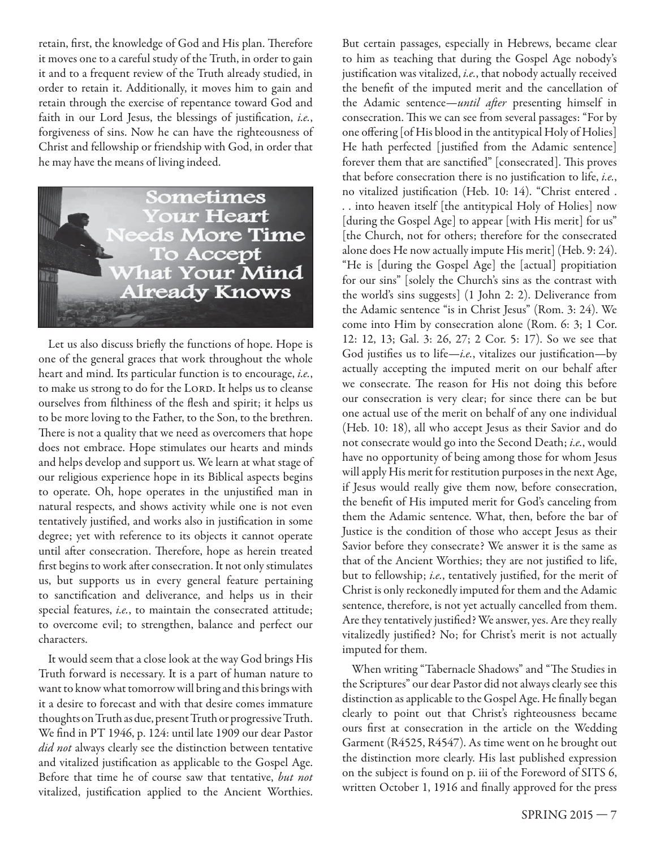retain, first, the knowledge of God and His plan. Therefore it moves one to a careful study of the Truth, in order to gain it and to a frequent review of the Truth already studied, in order to retain it. Additionally, it moves him to gain and retain through the exercise of repentance toward God and faith in our Lord Jesus, the blessings of justification, i.e., forgiveness of sins. Now he can have the righteousness of Christ and fellowship or friendship with God, in order that he may have the means of living indeed.



Let us also discuss briefly the functions of hope. Hope is one of the general graces that work throughout the whole heart and mind. Its particular function is to encourage, i.e., to make us strong to do for the LORD. It helps us to cleanse ourselves from filthiness of the flesh and spirit; it helps us to be more loving to the Father, to the Son, to the brethren. There is not a quality that we need as overcomers that hope does not embrace. Hope stimulates our hearts and minds and helps develop and support us. We learn at what stage of our religious experience hope in its Biblical aspects begins to operate. Oh, hope operates in the unjustified man in natural respects, and shows activity while one is not even tentatively justified, and works also in justification in some degree; yet with reference to its objects it cannot operate until after consecration. Therefore, hope as herein treated first begins to work after consecration. It not only stimulates us, but supports us in every general feature pertaining to sanctification and deliverance, and helps us in their special features, i.e., to maintain the consecrated attitude; to overcome evil; to strengthen, balance and perfect our characters.

It would seem that a close look at the way God brings His Truth forward is necessary. It is a part of human nature to want to know what tomorrow will bring and this brings with it a desire to forecast and with that desire comes immature thoughts on Truth as due, present Truth or progressive Truth. We find in PT 1946, p. 124: until late 1909 our dear Pastor did not always clearly see the distinction between tentative and vitalized justification as applicable to the Gospel Age. Before that time he of course saw that tentative, but not vitalized, justification applied to the Ancient Worthies. But certain passages, especially in Hebrews, became clear to him as teaching that during the Gospel Age nobody's justification was vitalized, i.e., that nobody actually received the benefit of the imputed merit and the cancellation of the Adamic sentence—until after presenting himself in consecration. This we can see from several passages: "For by one offering [of His blood in the antitypical Holy of Holies] He hath perfected [justified from the Adamic sentence] forever them that are sanctified" [consecrated]. This proves that before consecration there is no justification to life, i.e., no vitalized justification (Heb. 10: 14). "Christ entered . . . into heaven itself [the antitypical Holy of Holies] now [during the Gospel Age] to appear [with His merit] for us" [the Church, not for others; therefore for the consecrated alone does He now actually impute His merit] (Heb. 9: 24). "He is [during the Gospel Age] the [actual] propitiation for our sins" [solely the Church's sins as the contrast with the world's sins suggests] (1 John 2: 2). Deliverance from the Adamic sentence "is in Christ Jesus" (Rom. 3: 24). We come into Him by consecration alone (Rom. 6: 3; 1 Cor. 12: 12, 13; Gal. 3: 26, 27; 2 Cor. 5: 17). So we see that God justifies us to life—i.e., vitalizes our justification—by actually accepting the imputed merit on our behalf after we consecrate. The reason for His not doing this before our consecration is very clear; for since there can be but one actual use of the merit on behalf of any one individual (Heb. 10: 18), all who accept Jesus as their Savior and do not consecrate would go into the Second Death; i.e., would have no opportunity of being among those for whom Jesus will apply His merit for restitution purposes in the next Age, if Jesus would really give them now, before consecration, the benefit of His imputed merit for God's canceling from them the Adamic sentence. What, then, before the bar of Justice is the condition of those who accept Jesus as their Savior before they consecrate? We answer it is the same as that of the Ancient Worthies; they are not justified to life, but to fellowship; i.e., tentatively justified, for the merit of Christ is only reckonedly imputed for them and the Adamic sentence, therefore, is not yet actually cancelled from them. Are they tentatively justified? We answer, yes. Are they really vitalizedly justified? No; for Christ's merit is not actually imputed for them.

When writing "Tabernacle Shadows" and "The Studies in the Scriptures" our dear Pastor did not always clearly see this distinction as applicable to the Gospel Age. He finally began clearly to point out that Christ's righteousness became ours first at consecration in the article on the Wedding Garment (R4525, R4547). As time went on he brought out the distinction more clearly. His last published expression on the subject is found on p. iii of the Foreword of SITS 6, written October 1, 1916 and finally approved for the press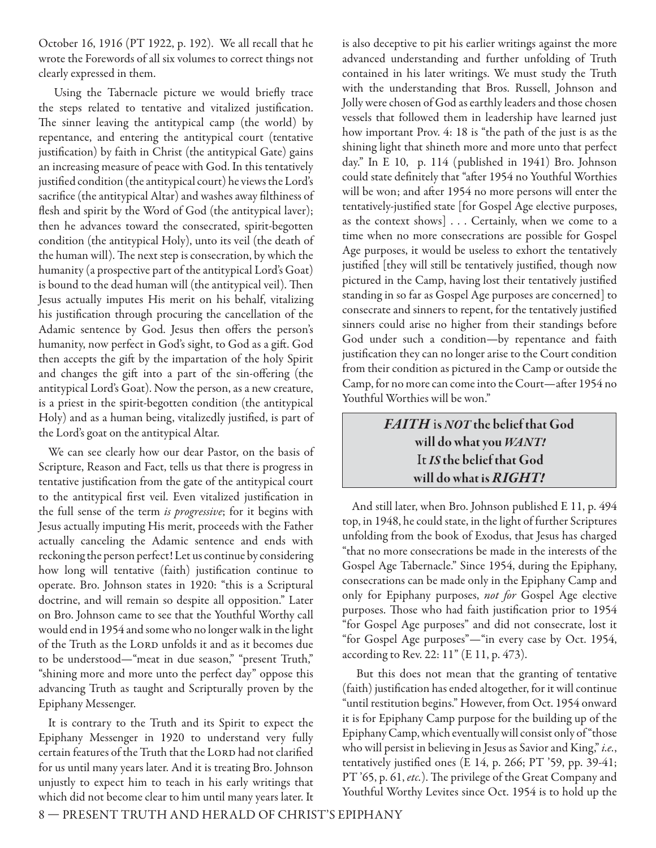October 16, 1916 (PT 1922, p. 192). We all recall that he wrote the Forewords of all six volumes to correct things not clearly expressed in them.

Using the Tabernacle picture we would briefly trace the steps related to tentative and vitalized justification. The sinner leaving the antitypical camp (the world) by repentance, and entering the antitypical court (tentative justification) by faith in Christ (the antitypical Gate) gains an increasing measure of peace with God. In this tentatively justified condition (the antitypical court) he views the Lord's sacrifice (the antitypical Altar) and washes away filthiness of flesh and spirit by the Word of God (the antitypical laver); then he advances toward the consecrated, spirit-begotten condition (the antitypical Holy), unto its veil (the death of the human will). The next step is consecration, by which the humanity (a prospective part of the antitypical Lord's Goat) is bound to the dead human will (the antitypical veil). Then Jesus actually imputes His merit on his behalf, vitalizing his justification through procuring the cancellation of the Adamic sentence by God. Jesus then offers the person's humanity, now perfect in God's sight, to God as a gift. God then accepts the gift by the impartation of the holy Spirit and changes the gift into a part of the sin-offering (the antitypical Lord's Goat). Now the person, as a new creature, is a priest in the spirit-begotten condition (the antitypical Holy) and as a human being, vitalizedly justified, is part of the Lord's goat on the antitypical Altar.

We can see clearly how our dear Pastor, on the basis of Scripture, Reason and Fact, tells us that there is progress in tentative justification from the gate of the antitypical court to the antitypical first veil. Even vitalized justification in the full sense of the term is progressive; for it begins with Jesus actually imputing His merit, proceeds with the Father actually canceling the Adamic sentence and ends with reckoning the person perfect! Let us continue by considering how long will tentative (faith) justification continue to operate. Bro. Johnson states in 1920: "this is a Scriptural doctrine, and will remain so despite all opposition." Later on Bro. Johnson came to see that the Youthful Worthy call would end in 1954 and some who no longer walk in the light of the Truth as the LORD unfolds it and as it becomes due to be understood—"meat in due season," "present Truth," "shining more and more unto the perfect day" oppose this advancing Truth as taught and Scripturally proven by the Epiphany Messenger.

It is contrary to the Truth and its Spirit to expect the Epiphany Messenger in 1920 to understand very fully certain features of the Truth that the LORD had not clarified for us until many years later. And it is treating Bro. Johnson unjustly to expect him to teach in his early writings that which did not become clear to him until many years later. It

is also deceptive to pit his earlier writings against the more advanced understanding and further unfolding of Truth contained in his later writings. We must study the Truth with the understanding that Bros. Russell, Johnson and Jolly were chosen of God as earthly leaders and those chosen vessels that followed them in leadership have learned just how important Prov. 4: 18 is "the path of the just is as the shining light that shineth more and more unto that perfect day." In E 10, p. 114 (published in 1941) Bro. Johnson could state definitely that "after 1954 no Youthful Worthies will be won; and after 1954 no more persons will enter the tentatively-justified state [for Gospel Age elective purposes, as the context shows] . . . Certainly, when we come to a time when no more consecrations are possible for Gospel Age purposes, it would be useless to exhort the tentatively justified [they will still be tentatively justified, though now pictured in the Camp, having lost their tentatively justified standing in so far as Gospel Age purposes are concerned] to consecrate and sinners to repent, for the tentatively justified sinners could arise no higher from their standings before God under such a condition—by repentance and faith justification they can no longer arise to the Court condition from their condition as pictured in the Camp or outside the Camp, for no more can come into the Court—after 1954 no Youthful Worthies will be won."

#### *FAITH* i**s** *NOT* **the belief that God will do what you** *WANT!* It *IS* **the belief that God will do what is** *RIGHT!*

And still later, when Bro. Johnson published E 11, p. 494 top, in 1948, he could state, in the light of further Scriptures unfolding from the book of Exodus, that Jesus has charged "that no more consecrations be made in the interests of the Gospel Age Tabernacle." Since 1954, during the Epiphany, consecrations can be made only in the Epiphany Camp and only for Epiphany purposes, not for Gospel Age elective purposes. Those who had faith justification prior to 1954 "for Gospel Age purposes" and did not consecrate, lost it "for Gospel Age purposes"—"in every case by Oct. 1954, according to Rev. 22: 11" (E 11, p. 473).

 But this does not mean that the granting of tentative (faith) justification has ended altogether, for it will continue "until restitution begins." However, from Oct. 1954 onward it is for Epiphany Camp purpose for the building up of the Epiphany Camp, which eventually will consist only of "those who will persist in believing in Jesus as Savior and King," i.e., tentatively justified ones (E 14, p. 266; PT '59, pp. 39-41; PT '65, p. 61, etc.). The privilege of the Great Company and Youthful Worthy Levites since Oct. 1954 is to hold up the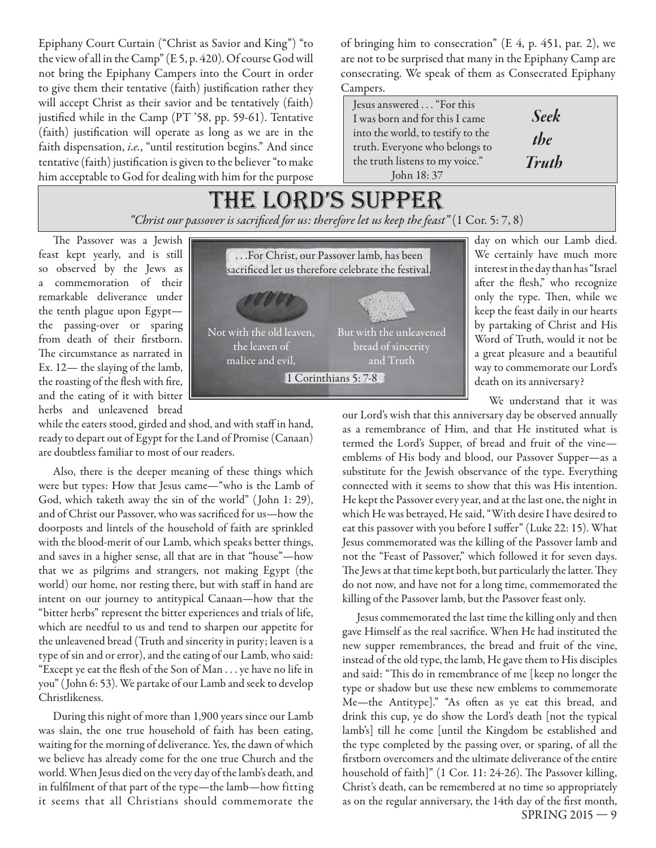Epiphany Court Curtain ("Christ as Savior and King") "to the view of all in the Camp" (E 5, p. 420). Of course God will not bring the Epiphany Campers into the Court in order to give them their tentative (faith) justification rather they will accept Christ as their savior and be tentatively (faith) justified while in the Camp (PT '58, pp. 59-61). Tentative (faith) justification will operate as long as we are in the faith dispensation, i.e., "until restitution begins." And since tentative (faith) justification is given to the believer "to make him acceptable to God for dealing with him for the purpose

of bringing him to consecration" (E 4, p. 451, par. 2), we are not to be surprised that many in the Epiphany Camp are consecrating. We speak of them as Consecrated Epiphany Campers.

Jesus answered . . . "For this I was born and for this I came into the world, to testify to the truth. Everyone who belongs to the truth listens to my voice." John 18: 37

| $\blacksquare$ |
|----------------|
| <i>the</i>     |
| <b>Truth</b>   |

*Seek*

### the lord's supper *"Christ our passover is sacrifi ced for us: therefore let us keep the feast"* (1 Cor. 5: 7, 8)

The Passover was a Jewish feast kept yearly, and is still so observed by the Jews as a commemoration of their remarkable deliverance under the tenth plague upon Egypt the passing-over or sparing from death of their firstborn. The circumstance as narrated in Ex. 12— the slaying of the lamb, the roasting of the flesh with fire, and the eating of it with bitter herbs and unleavened bread

while the eaters stood, girded and shod, and with staff in hand, ready to depart out of Egypt for the Land of Promise (Canaan) are doubtless familiar to most of our readers.

Also, there is the deeper meaning of these things which were but types: How that Jesus came—"who is the Lamb of God, which taketh away the sin of the world" ( John 1: 29), and of Christ our Passover, who was sacrificed for us-how the doorposts and lintels of the household of faith are sprinkled with the blood-merit of our Lamb, which speaks better things, and saves in a higher sense, all that are in that "house"—how that we as pilgrims and strangers, not making Egypt (the world) our home, nor resting there, but with staff in hand are intent on our journey to antitypical Canaan—how that the "bitter herbs" represent the bitter experiences and trials of life, which are needful to us and tend to sharpen our appetite for the unleavened bread (Truth and sincerity in purity; leaven is a type of sin and or error), and the eating of our Lamb, who said: "Except ye eat the flesh of the Son of Man . . . ye have no life in you" ( John 6: 53). We partake of our Lamb and seek to develop Christlikeness.

During this night of more than 1,900 years since our Lamb was slain, the one true household of faith has been eating, waiting for the morning of deliverance. Yes, the dawn of which we believe has already come for the one true Church and the world. When Jesus died on the very day of the lamb's death, and in fulfilment of that part of the type—the lamb—how fitting it seems that all Christians should commemorate the



day on which our Lamb died. We certainly have much more interest in the day than has "Israel after the flesh," who recognize only the type. Then, while we keep the feast daily in our hearts by partaking of Christ and His Word of Truth, would it not be a great pleasure and a beautiful way to commemorate our Lord's death on its anniversary?

We understand that it was

our Lord's wish that this anniversary day be observed annually as a remembrance of Him, and that He instituted what is termed the Lord's Supper, of bread and fruit of the vine emblems of His body and blood, our Passover Supper—as a substitute for the Jewish observance of the type. Everything connected with it seems to show that this was His intention. He kept the Passover every year, and at the last one, the night in which He was betrayed, He said, "With desire I have desired to eat this passover with you before I suffer" (Luke 22: 15). What Jesus commemorated was the killing of the Passover lamb and not the "Feast of Passover," which followed it for seven days. The Jews at that time kept both, but particularly the latter. They do not now, and have not for a long time, commemorated the killing of the Passover lamb, but the Passover feast only.

SPRING 2015 — 9 Jesus commemorated the last time the killing only and then gave Himself as the real sacrifice. When He had instituted the new supper remembrances, the bread and fruit of the vine, instead of the old type, the lamb, He gave them to His disciples and said: "This do in remembrance of me [keep no longer the type or shadow but use these new emblems to commemorate Me-the Antitype]." "As often as ye eat this bread, and drink this cup, ye do show the Lord's death [not the typical lamb's] till he come [until the Kingdom be established and the type completed by the passing over, or sparing, of all the firstborn overcomers and the ultimate deliverance of the entire household of faith]" (1 Cor. 11: 24-26). The Passover killing, Christ's death, can be remembered at no time so appropriately as on the regular anniversary, the 14th day of the first month,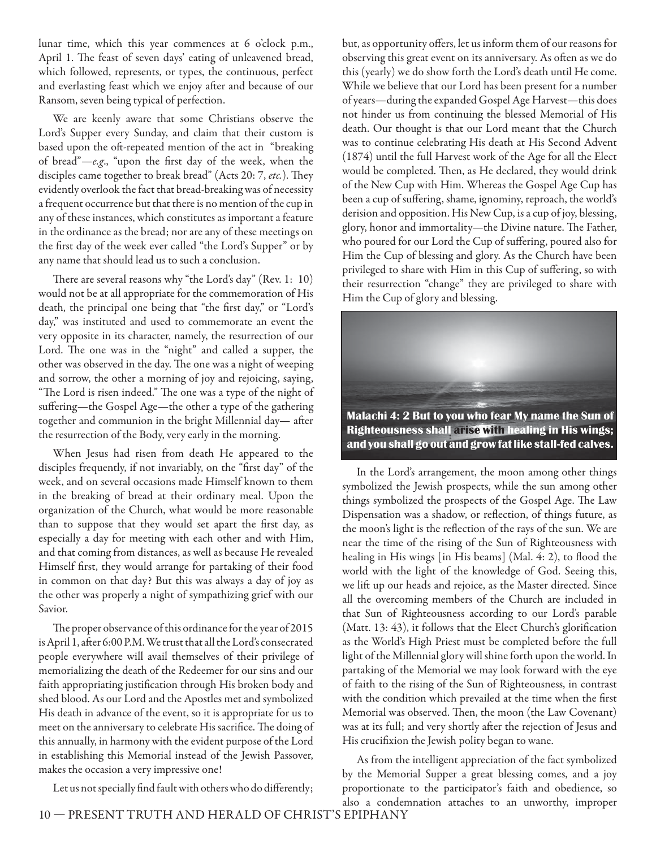lunar time, which this year commences at 6 o'clock p.m., April 1. The feast of seven days' eating of unleavened bread, which followed, represents, or types, the continuous, perfect and everlasting feast which we enjoy after and because of our Ransom, seven being typical of perfection.

We are keenly aware that some Christians observe the Lord's Supper every Sunday, and claim that their custom is based upon the oft-repeated mention of the act in "breaking of bread" $-e.g.,$  "upon the first day of the week, when the disciples came together to break bread" (Acts 20: 7, etc.). They evidently overlook the fact that bread-breaking was of necessity a frequent occurrence but that there is no mention of the cup in any of these instances, which constitutes as important a feature in the ordinance as the bread; nor are any of these meetings on the first day of the week ever called "the Lord's Supper" or by any name that should lead us to such a conclusion.

There are several reasons why "the Lord's day" (Rev. 1: 10) would not be at all appropriate for the commemoration of His death, the principal one being that "the first day," or "Lord's day," was instituted and used to commemorate an event the very opposite in its character, namely, the resurrection of our Lord. The one was in the "night" and called a supper, the other was observed in the day. The one was a night of weeping and sorrow, the other a morning of joy and rejoicing, saying, "The Lord is risen indeed." The one was a type of the night of suffering—the Gospel Age—the other a type of the gathering together and communion in the bright Millennial day-after the resurrection of the Body, very early in the morning.

When Jesus had risen from death He appeared to the disciples frequently, if not invariably, on the "first day" of the week, and on several occasions made Himself known to them in the breaking of bread at their ordinary meal. Upon the organization of the Church, what would be more reasonable than to suppose that they would set apart the first day, as especially a day for meeting with each other and with Him, and that coming from distances, as well as because He revealed Himself first, they would arrange for partaking of their food in common on that day? But this was always a day of joy as the other was properly a night of sympathizing grief with our Savior.

The proper observance of this ordinance for the year of 2015 is April 1, after 6:00 P.M. We trust that all the Lord's consecrated people everywhere will avail themselves of their privilege of memorializing the death of the Redeemer for our sins and our faith appropriating justification through His broken body and shed blood. As our Lord and the Apostles met and symbolized His death in advance of the event, so it is appropriate for us to meet on the anniversary to celebrate His sacrifice. The doing of this annually, in harmony with the evident purpose of the Lord in establishing this Memorial instead of the Jewish Passover, makes the occasion a very impressive one!

Let us not specially find fault with others who do differently;

but, as opportunity offers, let us inform them of our reasons for observing this great event on its anniversary. As often as we do this (yearly) we do show forth the Lord's death until He come. While we believe that our Lord has been present for a number of years—during the expanded Gospel Age Harvest—this does not hinder us from continuing the blessed Memorial of His death. Our thought is that our Lord meant that the Church was to continue celebrating His death at His Second Advent (1874) until the full Harvest work of the Age for all the Elect would be completed. Then, as He declared, they would drink of the New Cup with Him. Whereas the Gospel Age Cup has been a cup of suffering, shame, ignominy, reproach, the world's derision and opposition. His New Cup, is a cup of joy, blessing, glory, honor and immortality-the Divine nature. The Father, who poured for our Lord the Cup of suffering, poured also for Him the Cup of blessing and glory. As the Church have been privileged to share with Him in this Cup of suffering, so with their resurrection "change" they are privileged to share with Him the Cup of glory and blessing.



In the Lord's arrangement, the moon among other things symbolized the Jewish prospects, while the sun among other things symbolized the prospects of the Gospel Age. The Law Dispensation was a shadow, or reflection, of things future, as the moon's light is the reflection of the rays of the sun. We are near the time of the rising of the Sun of Righteousness with healing in His wings [in His beams] (Mal. 4: 2), to flood the world with the light of the knowledge of God. Seeing this, we lift up our heads and rejoice, as the Master directed. Since all the overcoming members of the Church are included in that Sun of Righteousness according to our Lord's parable (Matt. 13: 43), it follows that the Elect Church's glorification as the World's High Priest must be completed before the full light of the Millennial glory will shine forth upon the world. In partaking of the Memorial we may look forward with the eye of faith to the rising of the Sun of Righteousness, in contrast with the condition which prevailed at the time when the first Memorial was observed. Then, the moon (the Law Covenant) was at its full; and very shortly after the rejection of Jesus and His crucifixion the Jewish polity began to wane.

As from the intelligent appreciation of the fact symbolized by the Memorial Supper a great blessing comes, and a joy proportionate to the participator's faith and obedience, so also a condemnation attaches to an unworthy, improper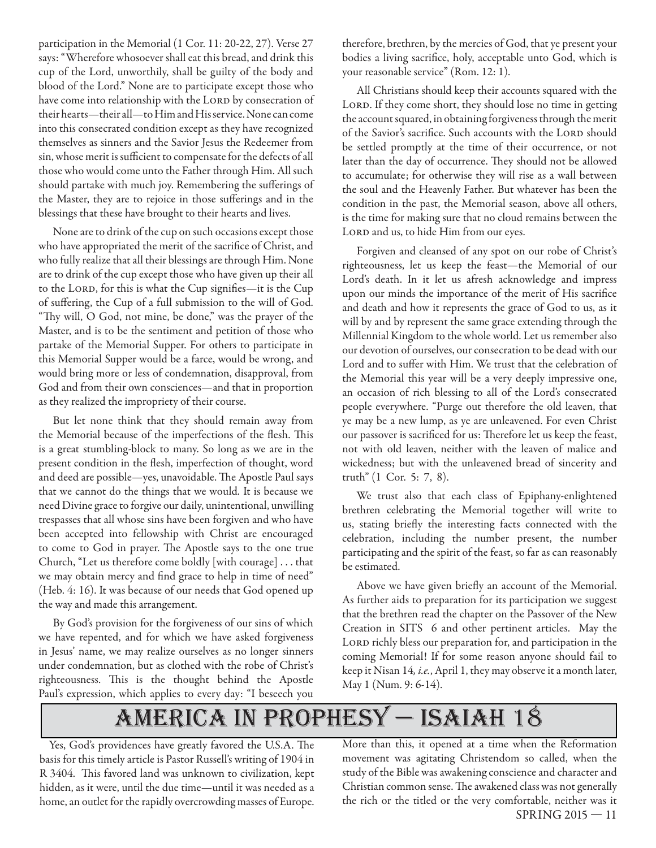participation in the Memorial (1 Cor. 11: 20-22, 27). Verse 27 says: "Wherefore whosoever shall eat this bread, and drink this cup of the Lord, unworthily, shall be guilty of the body and blood of the Lord." None are to participate except those who have come into relationship with the LORD by consecration of their hearts—their all—to Him and His service. None can come into this consecrated condition except as they have recognized themselves as sinners and the Savior Jesus the Redeemer from sin, whose merit is sufficient to compensate for the defects of all those who would come unto the Father through Him. All such should partake with much joy. Remembering the sufferings of the Master, they are to rejoice in those sufferings and in the blessings that these have brought to their hearts and lives.

None are to drink of the cup on such occasions except those who have appropriated the merit of the sacrifice of Christ, and who fully realize that all their blessings are through Him. None are to drink of the cup except those who have given up their all to the LORD, for this is what the Cup signifies-it is the Cup of suffering, the Cup of a full submission to the will of God. "Thy will, O God, not mine, be done," was the prayer of the Master, and is to be the sentiment and petition of those who partake of the Memorial Supper. For others to participate in this Memorial Supper would be a farce, would be wrong, and would bring more or less of condemnation, disapproval, from God and from their own consciences—and that in proportion as they realized the impropriety of their course.

But let none think that they should remain away from the Memorial because of the imperfections of the flesh. This is a great stumbling-block to many. So long as we are in the present condition in the flesh, imperfection of thought, word and deed are possible—yes, unavoidable. The Apostle Paul says that we cannot do the things that we would. It is because we need Divine grace to forgive our daily, unintentional, unwilling trespasses that all whose sins have been forgiven and who have been accepted into fellowship with Christ are encouraged to come to God in prayer. The Apostle says to the one true Church, "Let us therefore come boldly [with courage] . . . that we may obtain mercy and find grace to help in time of need" (Heb. 4: 16). It was because of our needs that God opened up the way and made this arrangement.

By God's provision for the forgiveness of our sins of which we have repented, and for which we have asked forgiveness in Jesus' name, we may realize ourselves as no longer sinners under condemnation, but as clothed with the robe of Christ's righteousness. This is the thought behind the Apostle Paul's expression, which applies to every day: "I beseech you

therefore, brethren, by the mercies of God, that ye present your bodies a living sacrifice, holy, acceptable unto God, which is your reasonable service" (Rom. 12: 1).

All Christians should keep their accounts squared with the LORD. If they come short, they should lose no time in getting the account squared, in obtaining forgiveness through the merit of the Savior's sacrifice. Such accounts with the LORD should be settled promptly at the time of their occurrence, or not later than the day of occurrence. They should not be allowed to accumulate; for otherwise they will rise as a wall between the soul and the Heavenly Father. But whatever has been the condition in the past, the Memorial season, above all others, is the time for making sure that no cloud remains between the LORD and us, to hide Him from our eyes.

Forgiven and cleansed of any spot on our robe of Christ's righteousness, let us keep the feast—the Memorial of our Lord's death. In it let us afresh acknowledge and impress upon our minds the importance of the merit of His sacrifice and death and how it represents the grace of God to us, as it will by and by represent the same grace extending through the Millennial Kingdom to the whole world. Let us remember also our devotion of ourselves, our consecration to be dead with our Lord and to suffer with Him. We trust that the celebration of the Memorial this year will be a very deeply impressive one, an occasion of rich blessing to all of the Lord's consecrated people everywhere. "Purge out therefore the old leaven, that ye may be a new lump, as ye are unleavened. For even Christ our passover is sacrificed for us: Therefore let us keep the feast, not with old leaven, neither with the leaven of malice and wickedness; but with the unleavened bread of sincerity and truth" (1 Cor. 5: 7, 8).

We trust also that each class of Epiphany-enlightened brethren celebrating the Memorial together will write to us, stating briefly the interesting facts connected with the celebration, including the number present, the number participating and the spirit of the feast, so far as can reasonably be estimated.

Above we have given briefly an account of the Memorial. As further aids to preparation for its participation we suggest that the brethren read the chapter on the Passover of the New Creation in SITS 6 and other pertinent articles. May the LORD richly bless our preparation for, and participation in the coming Memorial! If for some reason anyone should fail to keep it Nisan 14, i.e., April 1, they may observe it a month later, May 1 (Num. 9: 6-14).

## america in prophesy — isaiah 18

Yes, God's providences have greatly favored the U.S.A. The basis for this timely article is Pastor Russell's writing of 1904 in R 3404. This favored land was unknown to civilization, kept hidden, as it were, until the due time—until it was needed as a home, an outlet for the rapidly overcrowding masses of Europe.

SPRING 2015 — 11 More than this, it opened at a time when the Reformation movement was agitating Christendom so called, when the study of the Bible was awakening conscience and character and Christian common sense. The awakened class was not generally the rich or the titled or the very comfortable, neither was it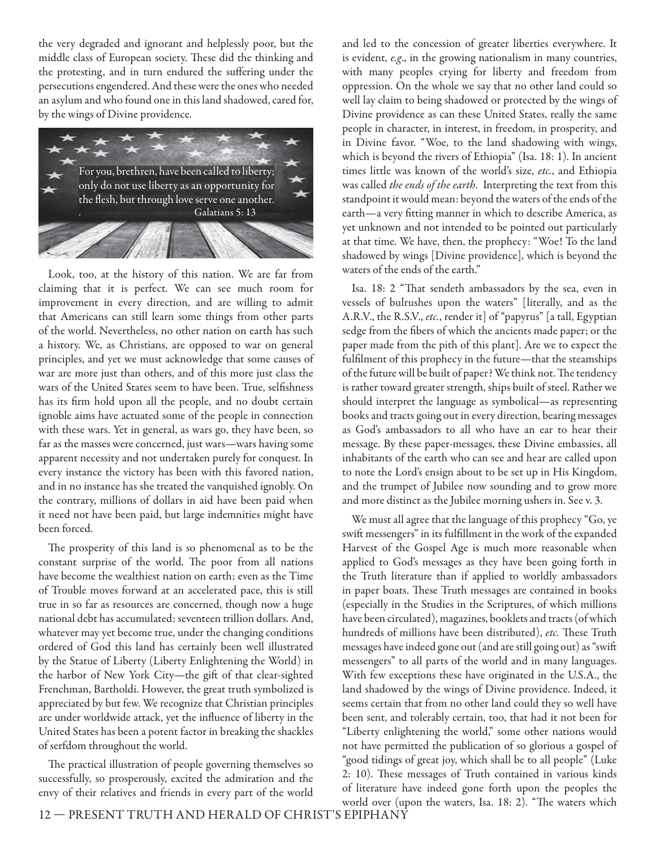the very degraded and ignorant and helplessly poor, but the middle class of European society. These did the thinking and the protesting, and in turn endured the suffering under the persecutions engendered. And these were the ones who needed an asylum and who found one in this land shadowed, cared for, by the wings of Divine providence.



Look, too, at the history of this nation. We are far from claiming that it is perfect. We can see much room for improvement in every direction, and are willing to admit that Americans can still learn some things from other parts of the world. Nevertheless, no other nation on earth has such a history. We, as Christians, are opposed to war on general principles, and yet we must acknowledge that some causes of war are more just than others, and of this more just class the wars of the United States seem to have been. True, selfishness has its firm hold upon all the people, and no doubt certain ignoble aims have actuated some of the people in connection with these wars. Yet in general, as wars go, they have been, so far as the masses were concerned, just wars—wars having some apparent necessity and not undertaken purely for conquest. In every instance the victory has been with this favored nation, and in no instance has she treated the vanquished ignobly. On the contrary, millions of dollars in aid have been paid when it need not have been paid, but large indemnities might have been forced.

The prosperity of this land is so phenomenal as to be the constant surprise of the world. The poor from all nations have become the wealthiest nation on earth; even as the Time of Trouble moves forward at an accelerated pace, this is still true in so far as resources are concerned, though now a huge national debt has accumulated: seventeen trillion dollars. And, whatever may yet become true, under the changing conditions ordered of God this land has certainly been well illustrated by the Statue of Liberty (Liberty Enlightening the World) in the harbor of New York City—the gift of that clear-sighted Frenchman, Bartholdi. However, the great truth symbolized is appreciated by but few. We recognize that Christian principles are under worldwide attack, yet the influence of liberty in the United States has been a potent factor in breaking the shackles of serfdom throughout the world.

The practical illustration of people governing themselves so successfully, so prosperously, excited the admiration and the envy of their relatives and friends in every part of the world and led to the concession of greater liberties everywhere. It is evident, e.g., in the growing nationalism in many countries, with many peoples crying for liberty and freedom from oppression. On the whole we say that no other land could so well lay claim to being shadowed or protected by the wings of Divine providence as can these United States, really the same people in character, in interest, in freedom, in prosperity, and in Divine favor. "Woe, to the land shadowing with wings, which is beyond the rivers of Ethiopia" (Isa. 18: 1). In ancient times little was known of the world's size, etc., and Ethiopia was called the ends of the earth. Interpreting the text from this standpoint it would mean: beyond the waters of the ends of the earth—a very fitting manner in which to describe America, as yet unknown and not intended to be pointed out particularly at that time. We have, then, the prophecy: "Woe! To the land shadowed by wings [Divine providence], which is beyond the waters of the ends of the earth."

Isa. 18: 2 "That sendeth ambassadors by the sea, even in vessels of bulrushes upon the waters" [literally, and as the A.R.V., the R.S.V., etc., render it] of "papyrus" [a tall, Egyptian sedge from the fibers of which the ancients made paper; or the paper made from the pith of this plant]. Are we to expect the fulfilment of this prophecy in the future—that the steamships of the future will be built of paper? We think not. The tendency is rather toward greater strength, ships built of steel. Rather we should interpret the language as symbolical—as representing books and tracts going out in every direction, bearing messages as God's ambassadors to all who have an ear to hear their message. By these paper-messages, these Divine embassies, all inhabitants of the earth who can see and hear are called upon to note the Lord's ensign about to be set up in His Kingdom, and the trumpet of Jubilee now sounding and to grow more and more distinct as the Jubilee morning ushers in. See v. 3.

We must all agree that the language of this prophecy "Go, ye swift messengers" in its fulfillment in the work of the expanded Harvest of the Gospel Age is much more reasonable when applied to God's messages as they have been going forth in the Truth literature than if applied to worldly ambassadors in paper boats. These Truth messages are contained in books (especially in the Studies in the Scriptures, of which millions have been circulated), magazines, booklets and tracts (of which hundreds of millions have been distributed), etc. These Truth messages have indeed gone out (and are still going out) as "swift messengers" to all parts of the world and in many languages. With few exceptions these have originated in the U.S.A., the land shadowed by the wings of Divine providence. Indeed, it seems certain that from no other land could they so well have been sent, and tolerably certain, too, that had it not been for "Liberty enlightening the world," some other nations would not have permitted the publication of so glorious a gospel of "good tidings of great joy, which shall be to all people" (Luke 2: 10). These messages of Truth contained in various kinds of literature have indeed gone forth upon the peoples the world over (upon the waters, Isa. 18: 2). "The waters which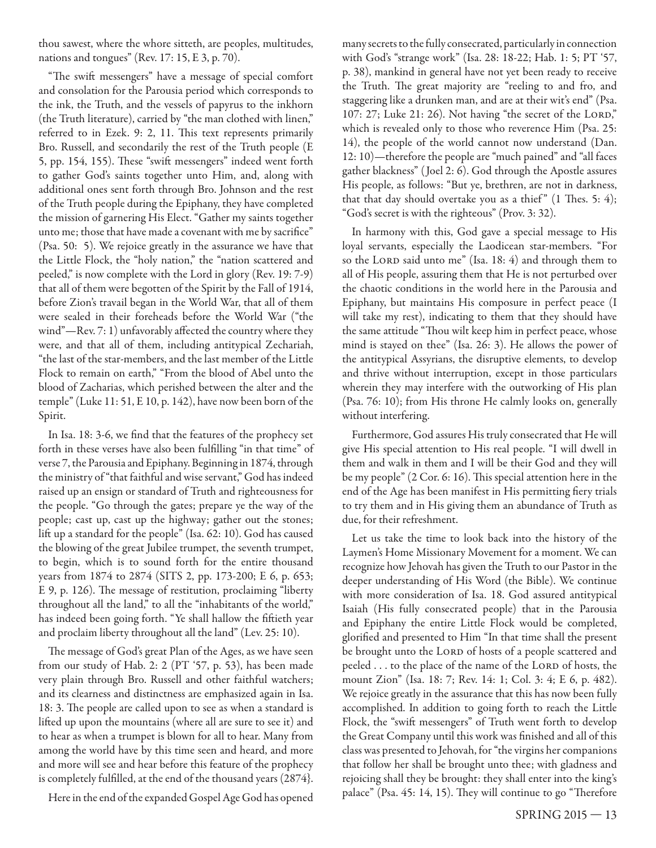thou sawest, where the whore sitteth, are peoples, multitudes, nations and tongues" (Rev. 17: 15, E 3, p. 70).

"The swift messengers" have a message of special comfort and consolation for the Parousia period which corresponds to the ink, the Truth, and the vessels of papyrus to the inkhorn (the Truth literature), carried by "the man clothed with linen," referred to in Ezek. 9: 2, 11. This text represents primarily Bro. Russell, and secondarily the rest of the Truth people (E 5, pp. 154, 155). These "swift messengers" indeed went forth to gather God's saints together unto Him, and, along with additional ones sent forth through Bro. Johnson and the rest of the Truth people during the Epiphany, they have completed the mission of garnering His Elect. "Gather my saints together unto me; those that have made a covenant with me by sacrifice" (Psa. 50: 5). We rejoice greatly in the assurance we have that the Little Flock, the "holy nation," the "nation scattered and peeled," is now complete with the Lord in glory (Rev. 19: 7-9) that all of them were begotten of the Spirit by the Fall of 1914, before Zion's travail began in the World War, that all of them were sealed in their foreheads before the World War ("the wind" $-$ Rev. 7: 1) unfavorably affected the country where they were, and that all of them, including antitypical Zechariah, "the last of the star-members, and the last member of the Little Flock to remain on earth," "From the blood of Abel unto the blood of Zacharias, which perished between the alter and the temple" (Luke 11: 51, E 10, p. 142), have now been born of the Spirit.

In Isa. 18: 3-6, we find that the features of the prophecy set forth in these verses have also been fulfilling "in that time" of verse 7, the Parousia and Epiphany. Beginning in 1874, through the ministry of "that faithful and wise servant," God has indeed raised up an ensign or standard of Truth and righteousness for the people. "Go through the gates; prepare ye the way of the people; cast up, cast up the highway; gather out the stones; lift up a standard for the people" (Isa. 62: 10). God has caused the blowing of the great Jubilee trumpet, the seventh trumpet, to begin, which is to sound forth for the entire thousand years from 1874 to 2874 (SITS 2, pp. 173-200; E 6, p. 653; E 9, p. 126). The message of restitution, proclaiming "liberty throughout all the land," to all the "inhabitants of the world," has indeed been going forth. "Ye shall hallow the fiftieth year and proclaim liberty throughout all the land" (Lev. 25: 10).

The message of God's great Plan of the Ages, as we have seen from our study of Hab. 2: 2 (PT '57, p. 53), has been made very plain through Bro. Russell and other faithful watchers; and its clearness and distinctness are emphasized again in Isa. 18: 3. The people are called upon to see as when a standard is lifted up upon the mountains (where all are sure to see it) and to hear as when a trumpet is blown for all to hear. Many from among the world have by this time seen and heard, and more and more will see and hear before this feature of the prophecy is completely fulfilled, at the end of the thousand years (2874}.

Here in the end of the expanded Gospel Age God has opened

many secrets to the fully consecrated, particularly in connection with God's "strange work" (Isa. 28: 18-22; Hab. 1: 5; PT '57, p. 38), mankind in general have not yet been ready to receive the Truth. The great majority are "reeling to and fro, and staggering like a drunken man, and are at their wit's end" (Psa. 107: 27; Luke 21: 26). Not having "the secret of the LORD," which is revealed only to those who reverence Him (Psa. 25: 14), the people of the world cannot now understand (Dan. 12: 10)—therefore the people are "much pained" and "all faces gather blackness" ( Joel 2: 6). God through the Apostle assures His people, as follows: "But ye, brethren, are not in darkness, that that day should overtake you as a thief"  $(1$  Thes. 5: 4); "God's secret is with the righteous" (Prov. 3: 32).

In harmony with this, God gave a special message to His loyal servants, especially the Laodicean star-members. "For so the LORD said unto me" (Isa. 18: 4) and through them to all of His people, assuring them that He is not perturbed over the chaotic conditions in the world here in the Parousia and Epiphany, but maintains His composure in perfect peace (I will take my rest), indicating to them that they should have the same attitude "Thou wilt keep him in perfect peace, whose mind is stayed on thee" (Isa. 26: 3). He allows the power of the antitypical Assyrians, the disruptive elements, to develop and thrive without interruption, except in those particulars wherein they may interfere with the outworking of His plan (Psa. 76: 10); from His throne He calmly looks on, generally without interfering.

Furthermore, God assures His truly consecrated that He will give His special attention to His real people. "I will dwell in them and walk in them and I will be their God and they will be my people" (2 Cor. 6: 16). This special attention here in the end of the Age has been manifest in His permitting fiery trials to try them and in His giving them an abundance of Truth as due, for their refreshment.

Let us take the time to look back into the history of the Laymen's Home Missionary Movement for a moment. We can recognize how Jehovah has given the Truth to our Pastor in the deeper understanding of His Word (the Bible). We continue with more consideration of Isa. 18. God assured antitypical Isaiah (His fully consecrated people) that in the Parousia and Epiphany the entire Little Flock would be completed, glorified and presented to Him "In that time shall the present be brought unto the LORD of hosts of a people scattered and peeled . . . to the place of the name of the LORD of hosts, the mount Zion" (Isa. 18: 7; Rev. 14: 1; Col. 3: 4; E 6, p. 482). We rejoice greatly in the assurance that this has now been fully accomplished. In addition to going forth to reach the Little Flock, the "swift messengers" of Truth went forth to develop the Great Company until this work was finished and all of this class was presented to Jehovah, for "the virgins her companions that follow her shall be brought unto thee; with gladness and rejoicing shall they be brought: they shall enter into the king's palace" (Psa. 45: 14, 15). They will continue to go "Therefore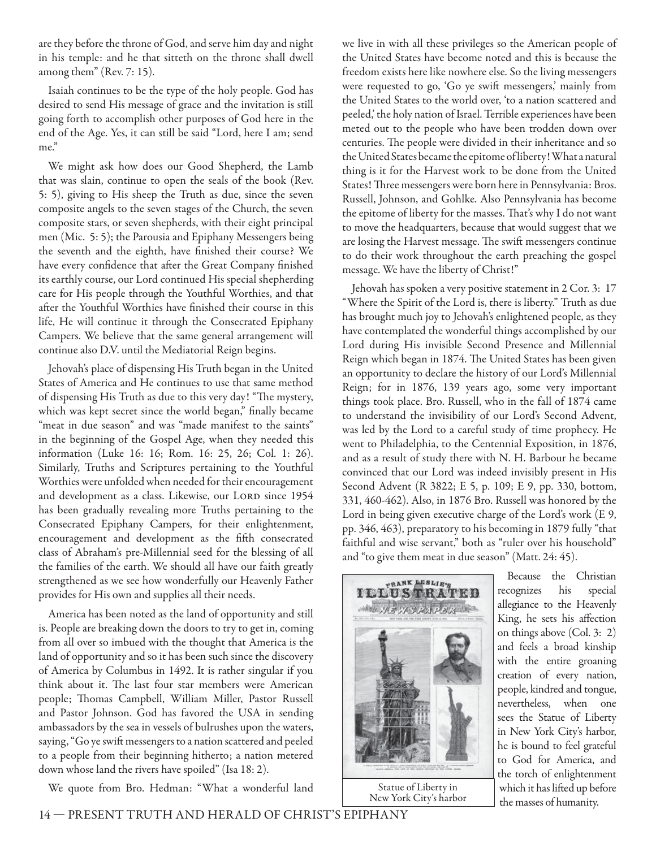are they before the throne of God, and serve him day and night in his temple: and he that sitteth on the throne shall dwell among them" (Rev. 7: 15).

Isaiah continues to be the type of the holy people. God has desired to send His message of grace and the invitation is still going forth to accomplish other purposes of God here in the end of the Age. Yes, it can still be said "Lord, here I am; send me."

We might ask how does our Good Shepherd, the Lamb that was slain, continue to open the seals of the book (Rev. 5: 5), giving to His sheep the Truth as due, since the seven composite angels to the seven stages of the Church, the seven composite stars, or seven shepherds, with their eight principal men (Mic. 5: 5); the Parousia and Epiphany Messengers being the seventh and the eighth, have finished their course? We have every confidence that after the Great Company finished its earthly course, our Lord continued His special shepherding care for His people through the Youthful Worthies, and that after the Youthful Worthies have finished their course in this life, He will continue it through the Consecrated Epiphany Campers. We believe that the same general arrangement will continue also D.V. until the Mediatorial Reign begins.

Jehovah's place of dispensing His Truth began in the United States of America and He continues to use that same method of dispensing His Truth as due to this very day! "The mystery, which was kept secret since the world began," finally became "meat in due season" and was "made manifest to the saints" in the beginning of the Gospel Age, when they needed this information (Luke 16: 16; Rom. 16: 25, 26; Col. 1: 26). Similarly, Truths and Scriptures pertaining to the Youthful Worthies were unfolded when needed for their encouragement and development as a class. Likewise, our LORD since 1954 has been gradually revealing more Truths pertaining to the Consecrated Epiphany Campers, for their enlightenment, encouragement and development as the fifth consecrated class of Abraham's pre-Millennial seed for the blessing of all the families of the earth. We should all have our faith greatly strengthened as we see how wonderfully our Heavenly Father provides for His own and supplies all their needs.

America has been noted as the land of opportunity and still is. People are breaking down the doors to try to get in, coming from all over so imbued with the thought that America is the land of opportunity and so it has been such since the discovery of America by Columbus in 1492. It is rather singular if you think about it. The last four star members were American people; Thomas Campbell, William Miller, Pastor Russell and Pastor Johnson. God has favored the USA in sending ambassadors by the sea in vessels of bulrushes upon the waters, saying, "Go ye swift messengers to a nation scattered and peeled to a people from their beginning hitherto; a nation metered down whose land the rivers have spoiled" (Isa 18: 2).

We quote from Bro. Hedman: "What a wonderful land

we live in with all these privileges so the American people of the United States have become noted and this is because the freedom exists here like nowhere else. So the living messengers were requested to go, 'Go ye swift messengers,' mainly from the United States to the world over, 'to a nation scattered and peeled,' the holy nation of Israel. Terrible experiences have been meted out to the people who have been trodden down over centuries. The people were divided in their inheritance and so the United States became the epitome of liberty! What a natural thing is it for the Harvest work to be done from the United States! Three messengers were born here in Pennsylvania: Bros. Russell, Johnson, and Gohlke. Also Pennsylvania has become the epitome of liberty for the masses. That's why I do not want to move the headquarters, because that would suggest that we are losing the Harvest message. The swift messengers continue to do their work throughout the earth preaching the gospel message. We have the liberty of Christ!"

Jehovah has spoken a very positive statement in 2 Cor. 3: 17 "Where the Spirit of the Lord is, there is liberty." Truth as due has brought much joy to Jehovah's enlightened people, as they have contemplated the wonderful things accomplished by our Lord during His invisible Second Presence and Millennial Reign which began in 1874. The United States has been given an opportunity to declare the history of our Lord's Millennial Reign; for in 1876, 139 years ago, some very important things took place. Bro. Russell, who in the fall of 1874 came to understand the invisibility of our Lord's Second Advent, was led by the Lord to a careful study of time prophecy. He went to Philadelphia, to the Centennial Exposition, in 1876, and as a result of study there with N. H. Barbour he became convinced that our Lord was indeed invisibly present in His Second Advent (R 3822; E 5, p. 109; E 9, pp. 330, bottom, 331, 460-462). Also, in 1876 Bro. Russell was honored by the Lord in being given executive charge of the Lord's work (E 9, pp. 346, 463), preparatory to his becoming in 1879 fully "that faithful and wise servant," both as "ruler over his household" and "to give them meat in due season" (Matt. 24: 45).



New York City's harbor

Because the Christian recognizes his special allegiance to the Heavenly King, he sets his affection on things above (Col. 3: 2) and feels a broad kinship with the entire groaning creation of every nation, people, kindred and tongue, nevertheless, when one sees the Statue of Liberty in New York City's harbor, he is bound to feel grateful to God for America, and the torch of enlightenment which it has lifted up before the masses of humanity.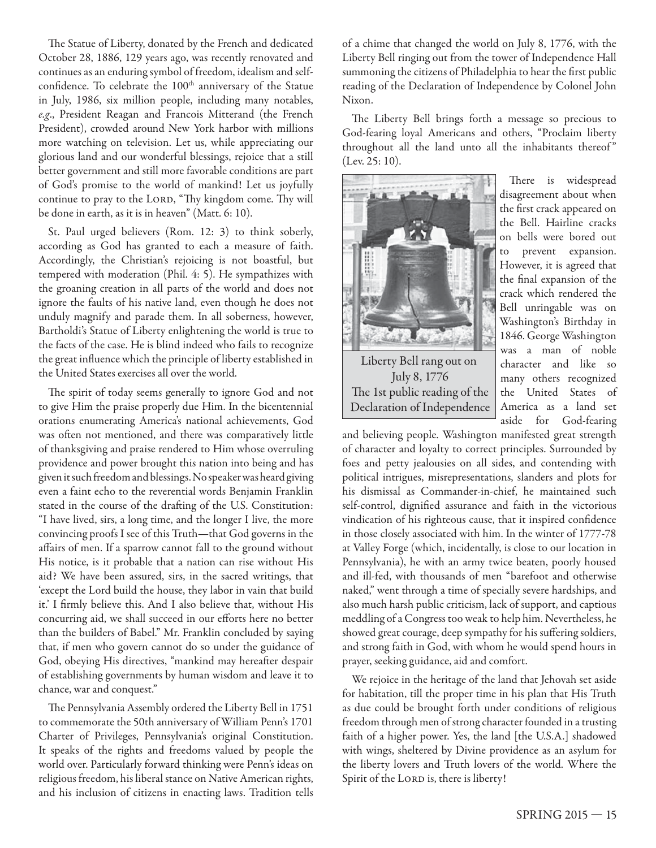The Statue of Liberty, donated by the French and dedicated October 28, 1886, 129 years ago, was recently renovated and continues as an enduring symbol of freedom, idealism and selfconfidence. To celebrate the 100<sup>th</sup> anniversary of the Statue in July, 1986, six million people, including many notables, e.g., President Reagan and Francois Mitterand (the French President), crowded around New York harbor with millions more watching on television. Let us, while appreciating our glorious land and our wonderful blessings, rejoice that a still better government and still more favorable conditions are part of God's promise to the world of mankind! Let us joyfully continue to pray to the LORD, "Thy kingdom come. Thy will be done in earth, as it is in heaven" (Matt. 6: 10).

St. Paul urged believers (Rom. 12: 3) to think soberly, according as God has granted to each a measure of faith. Accordingly, the Christian's rejoicing is not boastful, but tempered with moderation (Phil. 4: 5). He sympathizes with the groaning creation in all parts of the world and does not ignore the faults of his native land, even though he does not unduly magnify and parade them. In all soberness, however, Bartholdi's Statue of Liberty enlightening the world is true to the facts of the case. He is blind indeed who fails to recognize the great influence which the principle of liberty established in the United States exercises all over the world.

The spirit of today seems generally to ignore God and not to give Him the praise properly due Him. In the bicentennial orations enumerating America's national achievements, God was often not mentioned, and there was comparatively little of thanksgiving and praise rendered to Him whose overruling providence and power brought this nation into being and has given it such freedom and blessings. No speaker was heard giving even a faint echo to the reverential words Benjamin Franklin stated in the course of the drafting of the U.S. Constitution: "I have lived, sirs, a long time, and the longer I live, the more convincing proofs I see of this Truth—that God governs in the affairs of men. If a sparrow cannot fall to the ground without His notice, is it probable that a nation can rise without His aid? We have been assured, sirs, in the sacred writings, that 'except the Lord build the house, they labor in vain that build it.' I firmly believe this. And I also believe that, without His concurring aid, we shall succeed in our efforts here no better than the builders of Babel." Mr. Franklin concluded by saying that, if men who govern cannot do so under the guidance of God, obeying His directives, "mankind may hereafter despair of establishing governments by human wisdom and leave it to chance, war and conquest."

The Pennsylvania Assembly ordered the Liberty Bell in 1751 to commemorate the 50th anniversary of William Penn's 1701 Charter of Privileges, Pennsylvania's original Constitution. It speaks of the rights and freedoms valued by people the world over. Particularly forward thinking were Penn's ideas on religious freedom, his liberal stance on Native American rights, and his inclusion of citizens in enacting laws. Tradition tells

of a chime that changed the world on July 8, 1776, with the Liberty Bell ringing out from the tower of Independence Hall summoning the citizens of Philadelphia to hear the first public reading of the Declaration of Independence by Colonel John Nixon.

The Liberty Bell brings forth a message so precious to God-fearing loyal Americans and others, "Proclaim liberty throughout all the land unto all the inhabitants thereof" (Lev. 25: 10).



Declaration of Independence

There is widespread disagreement about when the first crack appeared on the Bell. Hairline cracks on bells were bored out to prevent expansion. However, it is agreed that the final expansion of the crack which rendered the Bell unringable was on Washington's Birthday in 1846. George Washington was a man of noble character and like so many others recognized the United States of America as a land set aside for God-fearing

and believing people. Washington manifested great strength of character and loyalty to correct principles. Surrounded by foes and petty jealousies on all sides, and contending with political intrigues, misrepresentations, slanders and plots for his dismissal as Commander-in-chief, he maintained such self-control, dignified assurance and faith in the victorious vindication of his righteous cause, that it inspired confidence in those closely associated with him. In the winter of 1777-78 at Valley Forge (which, incidentally, is close to our location in Pennsylvania), he with an army twice beaten, poorly housed and ill-fed, with thousands of men "barefoot and otherwise naked," went through a time of specially severe hardships, and also much harsh public criticism, lack of support, and captious meddling of a Congress too weak to help him. Nevertheless, he showed great courage, deep sympathy for his suffering soldiers, and strong faith in God, with whom he would spend hours in prayer, seeking guidance, aid and comfort.

We rejoice in the heritage of the land that Jehovah set aside for habitation, till the proper time in his plan that His Truth as due could be brought forth under conditions of religious freedom through men of strong character founded in a trusting faith of a higher power. Yes, the land [the U.S.A.] shadowed with wings, sheltered by Divine providence as an asylum for the liberty lovers and Truth lovers of the world. Where the Spirit of the LORD is, there is liberty!